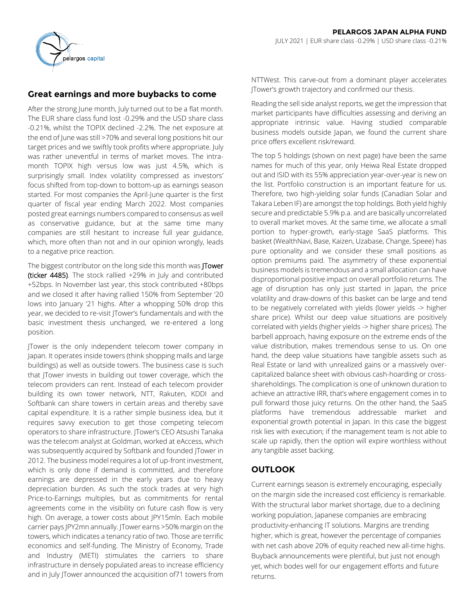

# **Great earnings and more buybacks to come**

After the strong June month, July turned out to be a flat month. The EUR share class fund lost -0.29% and the USD share class -0.21%, whilst the TOPIX declined -2.2%. The net exposure at the end of June was still >70% and several long positions hit our target prices and we swiftly took profits where appropriate. July was rather uneventful in terms of market moves. The intramonth TOPIX high versus low was just 4.5%, which is surprisingly small. Index volatility compressed as investors' focus shifted from top-down to bottom-up as earnings season started. For most companies the April-June quarter is the first quarter of fiscal year ending March 2022. Most companies posted great earnings numbers compared to consensus as well as conservative guidance, but at the same time many companies are still hesitant to increase full year guidance, which, more often than not and in our opinion wrongly, leads to a negative price reaction.

The biggest contributor on the long side this month was **ITower** (ticker 4485). The stock rallied +29% in July and contributed +52bps. In November last year, this stock contributed +80bps and we closed it after having rallied 150% from September '20 lows into January '21 highs. After a whopping 50% drop this year, we decided to re-visit JTower's fundamentals and with the basic investment thesis unchanged, we re-entered a long position.

JTower is the only independent telecom tower company in Japan. It operates inside towers (think shopping malls and large buildings) as well as outside towers. The business case is such that JTower invests in building out tower coverage, which the telecom providers can rent. Instead of each telecom provider building its own tower network, NTT, Rakuten, KDDI and Softbank can share towers in certain areas and thereby save capital expenditure. It is a rather simple business idea, but it requires savvy execution to get those competing telecom operators to share infrastructure. JTower's CEO Atsushi Tanaka was the telecom analyst at Goldman, worked at eAccess, which was subsequently acquired by Softbank and founded JTower in 2012. The business model requires a lot of up-front investment, which is only done if demand is committed, and therefore earnings are depressed in the early years due to heavy depreciation burden. As such the stock trades at very high Price-to-Earnings multiples, but as commitments for rental agreements come in the visibility on future cash flow is very high. On average, a tower costs about JPY15mln. Each mobile carrier pays JPY2mn annually. JTower earns >50% margin on the towers, which indicates a tenancy ratio of two. Those are terrific economics and self-funding. The Ministry of Economy, Trade and Industry (METI) stimulates the carriers to share infrastructure in densely populated areas to increase efficiency and in July JTower announced the acquisition of71 towers from

NTTWest. This carve-out from a dominant player accelerates JTower's growth trajectory and confirmed our thesis.

Reading the sell side analyst reports, we get the impression that market participants have difficulties assessing and deriving an appropriate intrinsic value. Having studied comparable business models outside Japan, we found the current share price offers excellent risk/reward.

The top 5 holdings (shown on next page) have been the same names for much of this year, only Heiwa Real Estate dropped out and ISID with its 55% appreciation year-over-year is new on the list. Portfolio construction is an important feature for us. Therefore, two high-yielding solar funds (Canadian Solar and Takara Leben IF) are amongst the top holdings. Both yield highly secure and predictable 5.9% p.a. and are basically uncorrelated to overall market moves. At the same time, we allocate a small portion to hyper-growth, early-stage SaaS platforms. This basket (WealthNavi, Base, Kaizen, Uzabase, Change, Speee) has pure optionality and we consider these small positions as option premiums paid. The asymmetry of these exponential business models is tremendous and a small allocation can have disproportional positive impact on overall portfolio returns. The age of disruption has only just started in Japan, the price volatility and draw-downs of this basket can be large and tend to be negatively correlated with yields (lower yields -> higher share price). Whilst our deep value situations are positively correlated with yields (higher yields -> higher share prices). The barbell approach, having exposure on the extreme ends of the value distribution, makes tremendous sense to us. On one hand, the deep value situations have tangible assets such as Real Estate or land with unrealized gains or a massively overcapitalized balance sheet with obvious cash-hoarding or crossshareholdings. The complication is one of unknown duration to achieve an attractive IRR, that's where engagement comes in to pull forward those juicy returns. On the other hand, the SaaS platforms have tremendous addressable market and exponential growth potential in Japan. In this case the biggest risk lies with execution; if the management team is not able to scale up rapidly, then the option will expire worthless without any tangible asset backing.

# **OUTLOOK**

Current earnings season is extremely encouraging, especially on the margin side the increased cost efficiency is remarkable. With the structural labor market shortage, due to a declining working population, Japanese companies are embracing productivity-enhancing IT solutions. Margins are trending higher, which is great, however the percentage of companies with net cash above 20% of equity reached new all-time highs. Buyback announcements were plentiful, but just not enough yet, which bodes well for our engagement efforts and future returns.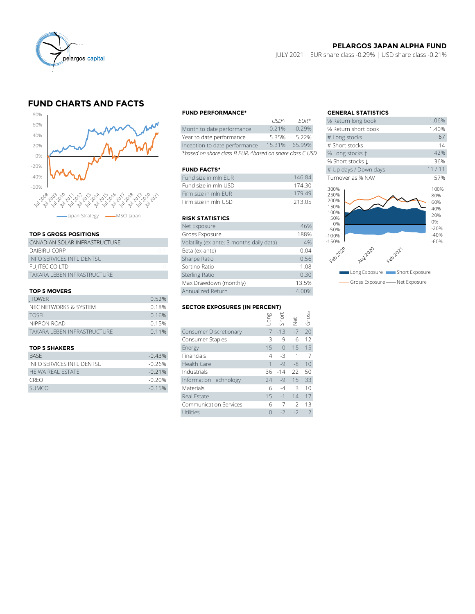

## **PELARGOS JAPAN ALPHA FUND**

JULY 2021 | EUR share class -0.29% | USD share class -0.21%

# **FUND CHARTS AND FACTS**



### **TOP 5 GROSS POSITIONS**

| apan Strategy - MSCI Japan       |    | <b>RISK STATIS</b>    |
|----------------------------------|----|-----------------------|
|                                  |    | Net Exposure          |
| <b>TOP 5 GROSS POSITIONS</b>     |    | Gross Exposu          |
| CANADIAN SOLAR INFRASTRUCTURE    |    | Volatility (ex-ar     |
| DAIBIRU CORP                     | 01 | Beta (ex-ante)        |
| <b>INFO SERVICES INTL DENTSU</b> |    | Sharpe Ratio          |
| <b>FUJITEC CO LTD</b>            |    | Sortino Ratio         |
| TAKARA LEBEN INFRASTRUCTURE      |    | <b>Sterling Ratio</b> |
|                                  |    | Max Drawdow           |
|                                  |    |                       |

#### **TOP 5 MOVERS**

| Max Drawdown (monthly)      |                                      |                               |  |               |      | 13.5% |  |  |
|-----------------------------|--------------------------------------|-------------------------------|--|---------------|------|-------|--|--|
| <b>TOP 5 MOVERS</b>         |                                      | Annualized Return             |  |               |      | 4.00% |  |  |
| <b>ITOWER</b>               | 0.52%                                |                               |  |               |      |       |  |  |
| NEC NETWORKS & SYSTEM       | <b>SECTOR EXPOSURES (IN PERCENT)</b> |                               |  |               |      |       |  |  |
| <b>TOSFI</b>                | 0.16%                                |                               |  | long<br>Short |      | Gross |  |  |
| NIPPON ROAD                 | 0.15%                                |                               |  |               | ğ    |       |  |  |
| TAKARA LEBEN INFRASTRUCTURE | 0.11%                                | <b>Consumer Discretionary</b> |  | $7 - 13$      | $-7$ | 20    |  |  |
|                             |                                      | Consumer Staples              |  | -9            | -6   | 12    |  |  |
|                             |                                      |                               |  |               |      |       |  |  |

| <b>BASE</b>               | $-0.43%$  | <b>Financials</b>      | 4 -3 1 7       |  |
|---------------------------|-----------|------------------------|----------------|--|
| INFO SERVICES INTI DENTSU | -0.26%    | Health Care            | $1 - 9 - 8 10$ |  |
| <b>HEIWA REAL ESTATE</b>  | $-0.21%$  | Industrials            | 36 -14 22 50   |  |
| <b>CREO</b>               | $-0.20\%$ | Information Technology | $24 - 9$ 15 33 |  |
| <b>SUMCO</b>              | $-0.15%$  | <b>Materials</b>       | $6 -4 3 10$    |  |

#### **FUND PERFORMANCE\* GENERAL STATISTICS**

|                                                          | 1121            | F11K      | <b>20 RELUITI JULIE DUUK</b> |
|----------------------------------------------------------|-----------------|-----------|------------------------------|
| Month to date performance                                | $-0.21%$        | $-0.29\%$ | % Return short book          |
| Year to date performance                                 | 5.35%           | 5.22%     | # Long stocks                |
| Inception to date performance                            | 15.31%          | 65.99%    | # Short stocks               |
| *based on share class B EUR, ^based on share class C USD | % Long stocks 1 |           |                              |

### **FUND FACTS\***

| Fund size in mln EUR  | 146.84 | Turnover as % NAV |
|-----------------------|--------|-------------------|
| Fund size in mln USD- | 174 30 | 300%              |
| Firm size in mln FUR  | 17949  | 250%              |
| Firm size in mln USD  | 213.05 | 200%<br>1.500L    |

#### **RISK STATISTICS**

| Firm size in mln FUR                      | 179.49 |
|-------------------------------------------|--------|
| Firm size in mln USD                      | 213.05 |
|                                           |        |
| <b>RISK STATISTICS</b>                    |        |
| Net Exposure                              | 46%    |
| Gross Exposure                            | 188%   |
| Volatility (ex-ante; 3 months daily data) | 4%     |
| Beta (ex-ante)                            | 0.04   |
| Sharpe Ratio                              | 0.56   |
| Sortino Ratio                             | 1.08   |
| <b>Sterling Ratio</b>                     | 0.30   |
| Max Drawdown (monthly)                    | 13.5%  |
| Annualized Return                         | 4.00%  |

#### **SECTOR EXPOSURES (IN PERCENT)**

| <b>TOP 5 MOVERS</b>              | Annualized Return | 4.00%                                |      |            |      |       |
|----------------------------------|-------------------|--------------------------------------|------|------------|------|-------|
| <b>ITOWER</b>                    | 0.52%             |                                      |      |            |      |       |
| NEC NETWORKS & SYSTEM            | 0.18%             | <b>SECTOR EXPOSURES (IN PERCENT)</b> |      |            |      |       |
| <b>TOSEI</b>                     | 0.16%             |                                      | suo- | Short      |      | Gross |
| NIPPON ROAD                      | 0.15%             |                                      |      |            | Net  |       |
| TAKARA LEBEN INFRASTRUCTURE      | 0.11%             | Consumer Discretionary               |      | $7 - 13$   | $-7$ | 20    |
|                                  |                   | Consumer Staples                     | ς    | -9         | -6   | 12    |
| <b>TOP 5 SHAKERS</b>             |                   | Energy                               | 15   | $\bigcirc$ | 15   | 15    |
| <b>BASE</b>                      | $-0.43%$          | Financials                           | 4    | $-3$       | 1    | 7     |
| <b>INFO SERVICES INTL DENTSU</b> | $-0.26%$          | Health Care                          |      | $-9$       | $-8$ | 10    |
| <b>HEIWA REAL ESTATE</b>         | $-0.21%$          | Industrials                          | 36   | $-14$      | 22   | 50    |
| <b>CREO</b>                      | $-0.20%$          | Information Technology               | 74   | $-9$       | 15   | 33    |
| <b>SUMCO</b>                     | $-0.15%$          | <b>Materials</b>                     | 6    | $-4$       | 3    | 10    |
|                                  |                   | Real Estate                          | 15   | $-1$       | 14   | 17    |
|                                  |                   | <b>Communication Services</b>        | 6    | $-7$       | $-2$ | 13    |
|                                  |                   | Utilities                            | 0    | $-2$       | $-2$ | 2     |
|                                  |                   |                                      |      |            |      |       |

|             |                            | <b>GENERAL STATISTICS</b>                   |                                        |  |  |
|-------------|----------------------------|---------------------------------------------|----------------------------------------|--|--|
| <b>USDA</b> | $FIR*$                     | % Return long book                          | $-1.06%$                               |  |  |
| $-0.21%$    | $-0.29%$                   | % Return short book                         | 1.40%                                  |  |  |
| 5.35%       | 5.22%                      | # Long stocks                               | 67                                     |  |  |
| 15.31%      | 65.99%                     | # Short stocks                              | 14                                     |  |  |
|             | on share class C USD       | % Long stocks 1                             | 42%                                    |  |  |
|             |                            | % Short stocks 1                            | 36%                                    |  |  |
|             |                            | # Up days / Down days                       | 11/11                                  |  |  |
|             | 146.84                     | Turnover as % NAV                           | 57%                                    |  |  |
|             | 174.30<br>179.49<br>213.05 | 300%<br>250%<br>200%<br>150%<br>100%<br>50% | 100%<br>80%<br>60%<br>40%<br>20%<br>0% |  |  |
|             | 46%                        | 0%<br>$-50%$                                | $-20%$                                 |  |  |
|             | 188%                       | $-100%$                                     | $-40%$                                 |  |  |
| data)       | 4%                         | $-150%$                                     | $-60%$                                 |  |  |
|             | 0.04                       | Feb2020<br>Feb 2021<br>Aug202C              |                                        |  |  |
|             | 0.56                       |                                             |                                        |  |  |
|             | 1.08                       |                                             |                                        |  |  |
|             | 0.30                       | Long Exposure   Short Exposure              |                                        |  |  |
|             | 13.5%                      | Gross Exposure - Net Exposure               |                                        |  |  |